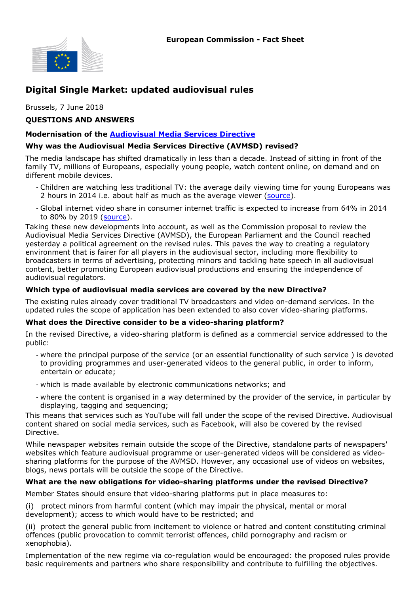

# Digital Single Market: updated audiovisual rules

Brussels, 7 June 2018

### QUESTIONS AND ANSWERS

### Modernisation of the Audiovisual Media Services Directive

### Why was the Audiovisual Media Services Directive (AVMSD) revised?

The media landscape has shifted dramatically in less than a decade. Instead of sitting in front of the family TV, millions of Europeans, especially young people, watch content online, on demand and on different mobile devices.

- Children are watching less traditional TV: the average daily viewing time for young Europeans was 2 hours in 2014 i.e. about half as much as the average viewer (source).
- Global internet video share in consumer internet traffic is expected to increase from 64% in 2014 to 80% by 2019 (source).

Taking these new developments into account, as well as the Commission proposal to review the Audiovisual Media Services Directive (AVMSD), the European Parliament and the Council reached yesterday a political agreement on the revised rules. This paves the way to creating a regulatory environment that is fairer for all players in the audiovisual sector, including more flexibility to broadcasters in terms of advertising, protecting minors and tackling hate speech in all audiovisual content, better promoting European audiovisual productions and ensuring the independence of audiovisual regulators.

### Which type of audiovisual media services are covered by the new Directive?

The existing rules already cover traditional TV broadcasters and video on-demand services. In the updated rules the scope of application has been extended to also cover video-sharing platforms.

#### What does the Directive consider to be a video-sharing platform?

In the revised Directive, a video-sharing platform is defined as a commercial service addressed to the public:

- where the principal purpose of the service (or an essential functionality of such service ) is devoted to providing programmes and user-generated videos to the general public, in order to inform, entertain or educate;
- which is made available by electronic communications networks; and
- where the content is organised in a way determined by the provider of the service, in particular by displaying, tagging and sequencing;

This means that services such as YouTube will fall under the scope of the revised Directive. Audiovisual content shared on social media services, such as Facebook, will also be covered by the revised Directive.

While newspaper websites remain outside the scope of the Directive, standalone parts of newspapers' websites which feature audiovisual programme or user-generated videos will be considered as videosharing platforms for the purpose of the AVMSD. However, any occasional use of videos on websites, blogs, news portals will be outside the scope of the Directive.

#### What are the new obligations for video-sharing platforms under the revised Directive?

Member States should ensure that video-sharing platforms put in place measures to:

(i) protect minors from harmful content (which may impair the physical, mental or moral development); access to which would have to be restricted; and

(ii) protect the general public from incitement to violence or hatred and content constituting criminal offences (public provocation to commit terrorist offences, child pornography and racism or xenophobia).

Implementation of the new regime via co-regulation would be encouraged: the proposed rules provide basic requirements and partners who share responsibility and contribute to fulfilling the objectives.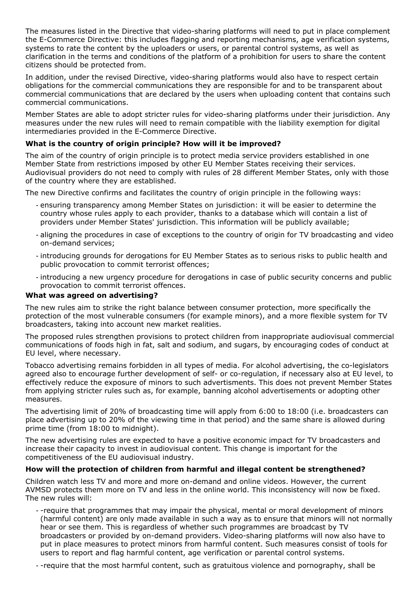The measures listed in the Directive that video-sharing platforms will need to put in place complement the E-Commerce Directive: this includes flagging and reporting mechanisms, age verification systems, systems to rate the content by the uploaders or users, or parental control systems, as well as clarification in the terms and conditions of the platform of a prohibition for users to share the content citizens should be protected from.

In addition, under the revised Directive, video-sharing platforms would also have to respect certain obligations for the commercial communications they are responsible for and to be transparent about commercial communications that are declared by the users when uploading content that contains such commercial communications.

Member States are able to adopt stricter rules for video-sharing platforms under their jurisdiction. Any measures under the new rules will need to remain compatible with the liability exemption for digital intermediaries provided in the E-Commerce Directive.

# What is the country of origin principle? How will it be improved?

The aim of the country of origin principle is to protect media service providers established in one Member State from restrictions imposed by other EU Member States receiving their services. Audiovisual providers do not need to comply with rules of 28 different Member States, only with those of the country where they are established.

The new Directive confirms and facilitates the country of origin principle in the following ways:

- ensuring transparency among Member States on jurisdiction: it will be easier to determine the country whose rules apply to each provider, thanks to a database which will contain a list of providers under Member States' jurisdiction. This information will be publicly available;
- aligning the procedures in case of exceptions to the country of origin for TV broadcasting and video on-demand services;
- introducing grounds for derogations for EU Member States as to serious risks to public health and public provocation to commit terrorist offences;
- introducing a new urgency procedure for derogations in case of public security concerns and public provocation to commit terrorist offences.

### What was agreed on advertising?

The new rules aim to strike the right balance between consumer protection, more specifically the protection of the most vulnerable consumers (for example minors), and a more flexible system for TV broadcasters, taking into account new market realities.

The proposed rules strengthen provisions to protect children from inappropriate audiovisual commercial communications of foods high in fat, salt and sodium, and sugars, by encouraging codes of conduct at EU level, where necessary.

Tobacco advertising remains forbidden in all types of media. For alcohol advertising, the co-legislators agreed also to encourage further development of self- or co-regulation, if necessary also at EU level, to effectively reduce the exposure of minors to such advertisments. This does not prevent Member States from applying stricter rules such as, for example, banning alcohol advertisements or adopting other measures.

The advertising limit of 20% of broadcasting time will apply from 6:00 to 18:00 (i.e. broadcasters can place advertising up to 20% of the viewing time in that period) and the same share is allowed during prime time (from 18:00 to midnight).

The new advertising rules are expected to have a positive economic impact for TV broadcasters and increase their capacity to invest in audiovisual content. This change is important for the competitiveness of the EU audiovisual industry.

# How will the protection of children from harmful and illegal content be strengthened?

Children watch less TV and more and more on-demand and online videos. However, the current AVMSD protects them more on TV and less in the online world. This inconsistency will now be fixed. The new rules will:

- -require that programmes that may impair the physical, mental or moral development of minors (harmful content) are only made available in such a way as to ensure that minors will not normally hear or see them. This is regardless of whether such programmes are broadcast by TV broadcasters or provided by on-demand providers. Video-sharing platforms will now also have to put in place measures to protect minors from harmful content. Such measures consist of tools for users to report and flag harmful content, age verification or parental control systems.

- -require that the most harmful content, such as gratuitous violence and pornography, shall be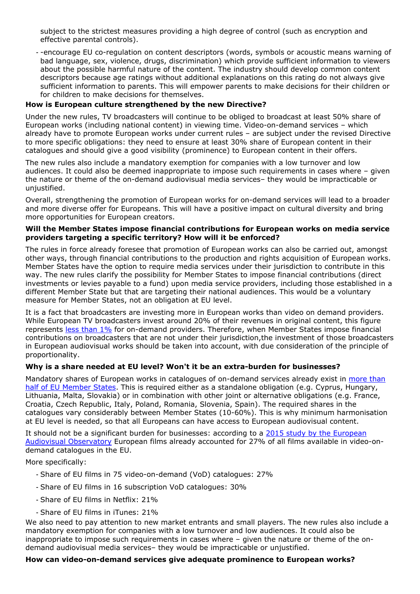subject to the strictest measures providing a high degree of control (such as encryption and effective parental controls).

- -encourage EU co-regulation on content descriptors (words, symbols or acoustic means warning of bad language, sex, violence, drugs, discrimination) which provide sufficient information to viewers about the possible harmful nature of the content. The industry should develop common content descriptors because age ratings without additional explanations on this rating do not always give sufficient information to parents. This will empower parents to make decisions for their children or for children to make decisions for themselves.

# How is European culture strengthened by the new Directive?

Under the new rules, TV broadcasters will continue to be obliged to broadcast at least 50% share of European works (including national content) in viewing time. Video-on-demand services – which already have to promote European works under current rules – are subject under the revised Directive to more specific obligations: they need to ensure at least 30% share of European content in their catalogues and should give a good visibility (prominence) to European content in their offers.

The new rules also include a mandatory exemption for companies with a low turnover and low audiences. It could also be deemed inappropriate to impose such requirements in cases where – given the nature or theme of the on-demand audiovisual media services– they would be impracticable or unjustified.

Overall, strengthening the promotion of European works for on-demand services will lead to a broader and more diverse offer for Europeans. This will have a positive impact on cultural diversity and bring more opportunities for European creators.

### Will the Member States impose financial contributions for European works on media service providers targeting a specific territory? How will it be enforced?

The rules in force already foresee that promotion of European works can also be carried out, amongst other ways, through financial contributions to the production and rights acquisition of European works. Member States have the option to require media services under their jurisdiction to contribute in this way. The new rules clarify the possibility for Member States to impose financial contributions (direct investments or levies payable to a fund) upon media service providers, including those established in a different Member State but that are targeting their national audiences. This would be a voluntary measure for Member States, not an obligation at EU level.

It is a fact that broadcasters are investing more in European works than video on demand providers. While European TV broadcasters invest around 20% of their revenues in original content, this figure represents less than 1% for on-demand providers. Therefore, when Member States impose financial contributions on broadcasters that are not under their jurisdiction,the investment of those broadcasters in European audiovisual works should be taken into account, with due consideration of the principle of proportionality.

#### Why is a share needed at EU level? Won't it be an extra-burden for businesses?

Mandatory shares of European works in catalogues of on-demand services already exist in more than half of EU Member States. This is required either as a standalone obligation (e.g. Cyprus, Hungary, Lithuania, Malta, Slovakia) or in combination with other joint or alternative obligations (e.g. France, Croatia, Czech Republic, Italy, Poland, Romania, Slovenia, Spain). The required shares in the catalogues vary considerably between Member States (10-60%). This is why minimum harmonisation at EU level is needed, so that all Europeans can have access to European audiovisual content.

It should not be a significant burden for businesses: according to a 2015 study by the European Audiovisual Observatory European films already accounted for 27% of all films available in video-ondemand catalogues in the EU.

More specifically:

- Share of EU films in 75 video-on-demand (VoD) catalogues: 27%
- Share of EU films in 16 subscription VoD catalogues: 30%
- Share of EU films in Netflix: 21%
- Share of EU films in iTunes: 21%

We also need to pay attention to new market entrants and small players. The new rules also include a mandatory exemption for companies with a low turnover and low audiences. It could also be inappropriate to impose such requirements in cases where – given the nature or theme of the ondemand audiovisual media services– they would be impracticable or unjustified.

#### How can video-on-demand services give adequate prominence to European works?